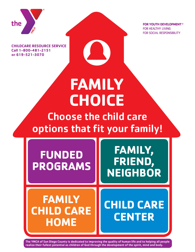

**FOR YOUTH DEVELOPMENT<sup>®</sup> FOR HEALTHY LIVING FOR SOCIAL RESPONSIBILITY** 

**CHILDCARE RESOURCE SERVICE Call 1-800-481-2151 or 619-521-3070**

# **FAMILY CHOICE**

## Choose the child care options that fit your family!

**FUNDED PROGRAMS**

**FAMILY, FRIEND, NEIGHBOR**

## **FAMILY CHILD CARE HOME**

**CHILD CARE CENTER**

The YMCA of San Diego County is dedicated to improving the quality of human life and to helping all people realize their fullest potential as children of God through the development of the spirit, mind and body.